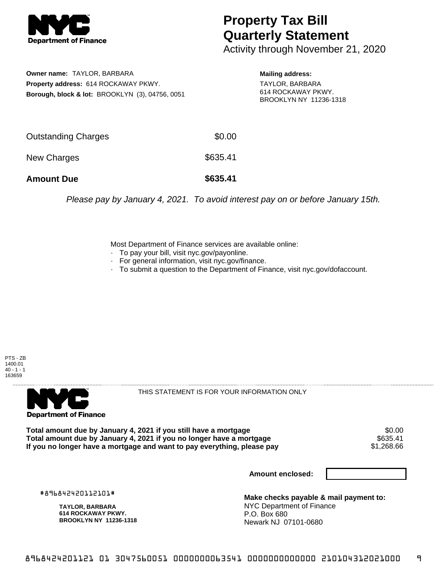

## **Property Tax Bill Quarterly Statement**

Activity through November 21, 2020

**Owner name:** TAYLOR, BARBARA **Property address:** 614 ROCKAWAY PKWY. **Borough, block & lot:** BROOKLYN (3), 04756, 0051

**Mailing address:** TAYLOR, BARBARA 614 ROCKAWAY PKWY. BROOKLYN NY 11236-1318

| <b>Amount Due</b>   | \$635.41 |
|---------------------|----------|
| New Charges         | \$635.41 |
| Outstanding Charges | \$0.00   |

Please pay by January 4, 2021. To avoid interest pay on or before January 15th.

Most Department of Finance services are available online:

- · To pay your bill, visit nyc.gov/payonline.
- For general information, visit nyc.gov/finance.
- · To submit a question to the Department of Finance, visit nyc.gov/dofaccount.





THIS STATEMENT IS FOR YOUR INFORMATION ONLY

Total amount due by January 4, 2021 if you still have a mortgage \$0.00<br>Total amount due by January 4, 2021 if you no longer have a mortgage \$635.41 **Total amount due by January 4, 2021 if you no longer have a mortgage \$635.41<br>If you no longer have a mortgage and want to pay everything, please pay \$1,268.66** If you no longer have a mortgage and want to pay everything, please pay

**Amount enclosed:**

#896842420112101#

**TAYLOR, BARBARA 614 ROCKAWAY PKWY. BROOKLYN NY 11236-1318**

**Make checks payable & mail payment to:** NYC Department of Finance P.O. Box 680 Newark NJ 07101-0680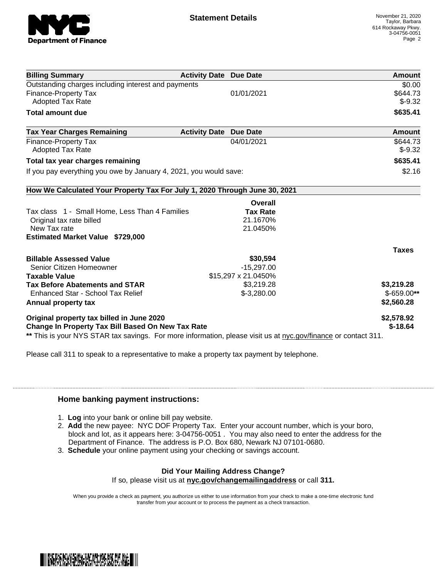

| <b>Billing Summary</b>                                                     | <b>Activity Date Due Date</b> | Amount       |
|----------------------------------------------------------------------------|-------------------------------|--------------|
| Outstanding charges including interest and payments                        |                               | \$0.00       |
| <b>Finance-Property Tax</b>                                                | 01/01/2021                    | \$644.73     |
| <b>Adopted Tax Rate</b>                                                    |                               | $$-9.32$     |
| <b>Total amount due</b>                                                    |                               | \$635.41     |
| <b>Tax Year Charges Remaining</b><br><b>Activity Date</b>                  | <b>Due Date</b>               | Amount       |
| <b>Finance-Property Tax</b>                                                | 04/01/2021                    | \$644.73     |
| <b>Adopted Tax Rate</b>                                                    |                               | $$-9.32$     |
| Total tax year charges remaining                                           |                               | \$635.41     |
| If you pay everything you owe by January 4, 2021, you would save:          |                               | \$2.16       |
| How We Calculated Your Property Tax For July 1, 2020 Through June 30, 2021 |                               |              |
|                                                                            | Overall                       |              |
| Tax class 1 - Small Home, Less Than 4 Families                             | <b>Tax Rate</b>               |              |
| Original tax rate billed                                                   | 21.1670%                      |              |
| New Tax rate                                                               | 21.0450%                      |              |
| <b>Estimated Market Value \$729,000</b>                                    |                               |              |
|                                                                            |                               | <b>Taxes</b> |
| <b>Billable Assessed Value</b>                                             | \$30,594                      |              |
| Senior Citizen Homeowner                                                   | $-15,297.00$                  |              |
| <b>Taxable Value</b>                                                       | \$15,297 x 21.0450%           |              |
| <b>Tax Before Abatements and STAR</b>                                      | \$3,219.28                    | \$3,219.28   |
| Enhanced Star - School Tax Relief                                          | $$-3,280.00$                  | \$-659.00**  |
|                                                                            |                               | \$2,560.28   |
|                                                                            |                               |              |
| Annual property tax<br>Original property tax billed in June 2020           |                               | \$2,578.92   |

Please call 311 to speak to a representative to make a property tax payment by telephone.

## **Home banking payment instructions:**

- 1. **Log** into your bank or online bill pay website.
- 2. **Add** the new payee: NYC DOF Property Tax. Enter your account number, which is your boro, block and lot, as it appears here: 3-04756-0051 . You may also need to enter the address for the Department of Finance. The address is P.O. Box 680, Newark NJ 07101-0680.
- 3. **Schedule** your online payment using your checking or savings account.

## **Did Your Mailing Address Change?**

If so, please visit us at **nyc.gov/changemailingaddress** or call **311.**

When you provide a check as payment, you authorize us either to use information from your check to make a one-time electronic fund transfer from your account or to process the payment as a check transaction.